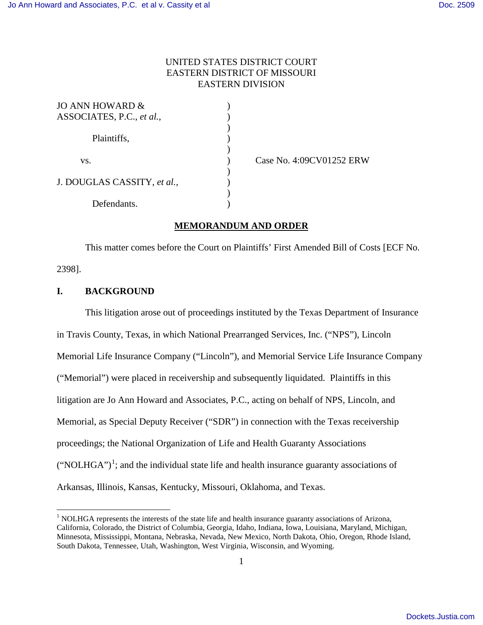## UNITED STATES DISTRICT COURT EASTERN DISTRICT OF MISSOURI EASTERN DIVISION

| JO ANN HOWARD &             |  |
|-----------------------------|--|
| ASSOCIATES, P.C., et al.,   |  |
|                             |  |
| Plaintiffs,                 |  |
|                             |  |
| VS.                         |  |
|                             |  |
| J. DOUGLAS CASSITY, et al., |  |
|                             |  |
| Defendants.                 |  |

) Case No. 4:09CV01252 ERW

## **MEMORANDUM AND ORDER**

This matter comes before the Court on Plaintiffs' First Amended Bill of Costs [ECF No. 2398].

## **I. BACKGROUND**

<u>.</u>

This litigation arose out of proceedings instituted by the Texas Department of Insurance in Travis County, Texas, in which National Prearranged Services, Inc. ("NPS"), Lincoln Memorial Life Insurance Company ("Lincoln"), and Memorial Service Life Insurance Company ("Memorial") were placed in receivership and subsequently liquidated. Plaintiffs in this litigation are Jo Ann Howard and Associates, P.C., acting on behalf of NPS, Lincoln, and Memorial, as Special Deputy Receiver ("SDR") in connection with the Texas receivership proceedings; the National Organization of Life and Health Guaranty Associations  $("NOLHGA")<sup>1</sup>$  $("NOLHGA")<sup>1</sup>$  $("NOLHGA")<sup>1</sup>$ ; and the individual state life and health insurance guaranty associations of Arkansas, Illinois, Kansas, Kentucky, Missouri, Oklahoma, and Texas.

<span id="page-0-0"></span> $<sup>1</sup>$  NOLHGA represents the interests of the state life and health insurance guaranty associations of Arizona,</sup> California, Colorado, the District of Columbia, Georgia, Idaho, Indiana, Iowa, Louisiana, Maryland, Michigan, Minnesota, Mississippi, Montana, Nebraska, Nevada, New Mexico, North Dakota, Ohio, Oregon, Rhode Island, South Dakota, Tennessee, Utah, Washington, West Virginia, Wisconsin, and Wyoming.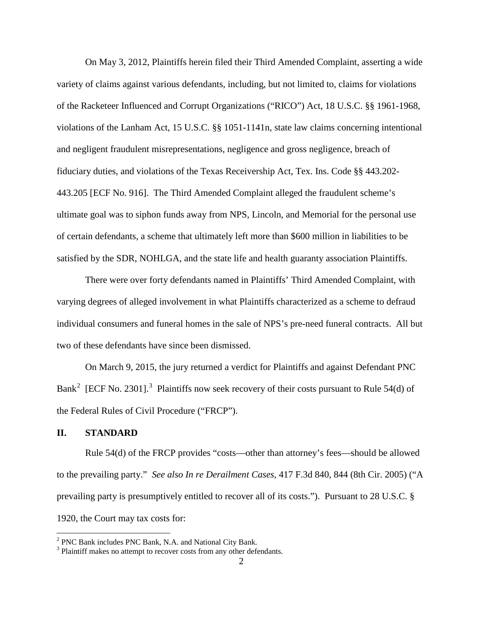On May 3, 2012, Plaintiffs herein filed their Third Amended Complaint, asserting a wide variety of claims against various defendants, including, but not limited to, claims for violations of the Racketeer Influenced and Corrupt Organizations ("RICO") Act, 18 U.S.C. §§ 1961-1968, violations of the Lanham Act, 15 U.S.C. §§ 1051-1141n, state law claims concerning intentional and negligent fraudulent misrepresentations, negligence and gross negligence, breach of fiduciary duties, and violations of the Texas Receivership Act, Tex. Ins. Code §§ 443.202- 443.205 [ECF No. 916]. The Third Amended Complaint alleged the fraudulent scheme's ultimate goal was to siphon funds away from NPS, Lincoln, and Memorial for the personal use of certain defendants, a scheme that ultimately left more than \$600 million in liabilities to be satisfied by the SDR, NOHLGA, and the state life and health guaranty association Plaintiffs.

There were over forty defendants named in Plaintiffs' Third Amended Complaint, with varying degrees of alleged involvement in what Plaintiffs characterized as a scheme to defraud individual consumers and funeral homes in the sale of NPS's pre-need funeral contracts. All but two of these defendants have since been dismissed.

On March 9, 2015, the jury returned a verdict for Plaintiffs and against Defendant PNC Bank<sup>[2](#page-1-0)</sup> [ECF No. 2[3](#page-1-1)01].<sup>3</sup> Plaintiffs now seek recovery of their costs pursuant to Rule 54(d) of the Federal Rules of Civil Procedure ("FRCP").

### **II. STANDARD**

<u>.</u>

Rule 54(d) of the FRCP provides "costs—other than attorney's fees—should be allowed to the prevailing party." *See also In re Derailment Cases*, 417 F.3d 840, 844 (8th Cir. 2005) ("A prevailing party is presumptively entitled to recover all of its costs."). Pursuant to 28 U.S.C. § 1920, the Court may tax costs for:

<span id="page-1-0"></span><sup>&</sup>lt;sup>2</sup> PNC Bank includes PNC Bank, N.A. and National City Bank.

<span id="page-1-1"></span><sup>&</sup>lt;sup>3</sup> Plaintiff makes no attempt to recover costs from any other defendants.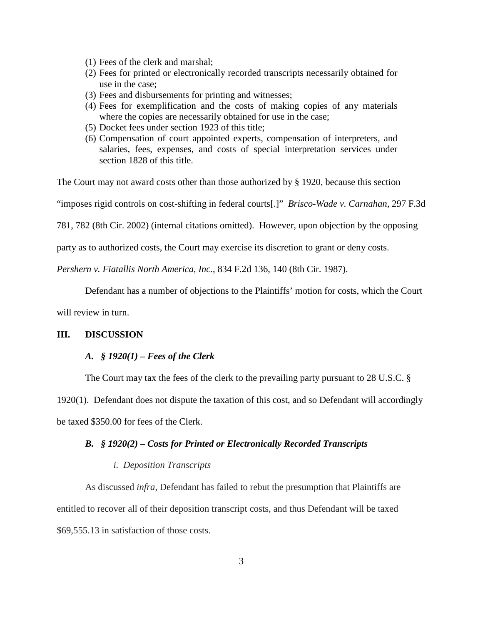- (1) Fees of the clerk and marshal;
- (2) Fees for printed or electronically recorded transcripts necessarily obtained for use in the case;
- (3) Fees and disbursements for printing and witnesses;
- (4) Fees for exemplification and the costs of making copies of any materials where the copies are necessarily obtained for use in the case;
- (5) Docket fees under section 1923 of this title;
- (6) Compensation of court appointed experts, compensation of interpreters, and salaries, fees, expenses, and costs of special interpretation services under section 1828 of this title.

The Court may not award costs other than those authorized by § 1920, because this section

"imposes rigid controls on cost-shifting in federal courts[.]" *Brisco-Wade v. Carnahan*, 297 F.3d

781, 782 (8th Cir. 2002) (internal citations omitted). However, upon objection by the opposing

party as to authorized costs, the Court may exercise its discretion to grant or deny costs.

*Pershern v. Fiatallis North America, Inc.*, 834 F.2d 136, 140 (8th Cir. 1987).

Defendant has a number of objections to the Plaintiffs' motion for costs, which the Court

will review in turn.

## **III. DISCUSSION**

### *A.**§ 1920(1) – Fees of the Clerk*

The Court may tax the fees of the clerk to the prevailing party pursuant to 28 U.S.C. §

1920(1). Defendant does not dispute the taxation of this cost, and so Defendant will accordingly

be taxed \$350.00 for fees of the Clerk.

### *B.**§ 1920(2) – Costs for Printed or Electronically Recorded Transcripts*

### *i. Deposition Transcripts*

As discussed *infra*, Defendant has failed to rebut the presumption that Plaintiffs are entitled to recover all of their deposition transcript costs, and thus Defendant will be taxed \$69,555.13 in satisfaction of those costs.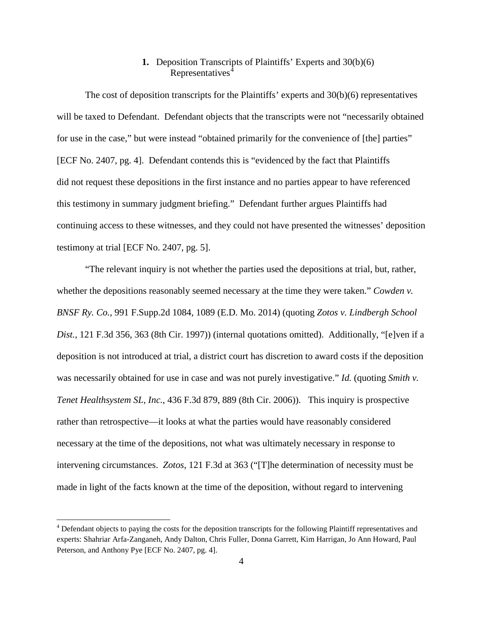# **1.** Deposition Transcripts of Plaintiffs' Experts and 30(b)(6) Representatives<sup>[4](#page-3-0)</sup>

The cost of deposition transcripts for the Plaintiffs' experts and 30(b)(6) representatives will be taxed to Defendant. Defendant objects that the transcripts were not "necessarily obtained for use in the case," but were instead "obtained primarily for the convenience of [the] parties" [ECF No. 2407, pg. 4]. Defendant contends this is "evidenced by the fact that Plaintiffs did not request these depositions in the first instance and no parties appear to have referenced this testimony in summary judgment briefing." Defendant further argues Plaintiffs had continuing access to these witnesses, and they could not have presented the witnesses' deposition testimony at trial [ECF No. 2407, pg. 5].

"The relevant inquiry is not whether the parties used the depositions at trial, but, rather, whether the depositions reasonably seemed necessary at the time they were taken." *Cowden v. BNSF Ry. Co.*, 991 F.Supp.2d 1084, 1089 (E.D. Mo. 2014) (quoting *Zotos v. Lindbergh School Dist.*, 121 F.3d 356, 363 (8th Cir. 1997)) (internal quotations omitted). Additionally, "[e]ven if a deposition is not introduced at trial, a district court has discretion to award costs if the deposition was necessarily obtained for use in case and was not purely investigative." *Id.* (quoting *Smith v. Tenet Healthsystem SL, Inc.*, 436 F.3d 879, 889 (8th Cir. 2006)). This inquiry is prospective rather than retrospective—it looks at what the parties would have reasonably considered necessary at the time of the depositions, not what was ultimately necessary in response to intervening circumstances. *Zotos*, 121 F.3d at 363 ("[T]he determination of necessity must be made in light of the facts known at the time of the deposition, without regard to intervening

 $\overline{a}$ 

<span id="page-3-0"></span><sup>&</sup>lt;sup>4</sup> Defendant objects to paying the costs for the deposition transcripts for the following Plaintiff representatives and experts: Shahriar Arfa-Zanganeh, Andy Dalton, Chris Fuller, Donna Garrett, Kim Harrigan, Jo Ann Howard, Paul Peterson, and Anthony Pye [ECF No. 2407, pg. 4].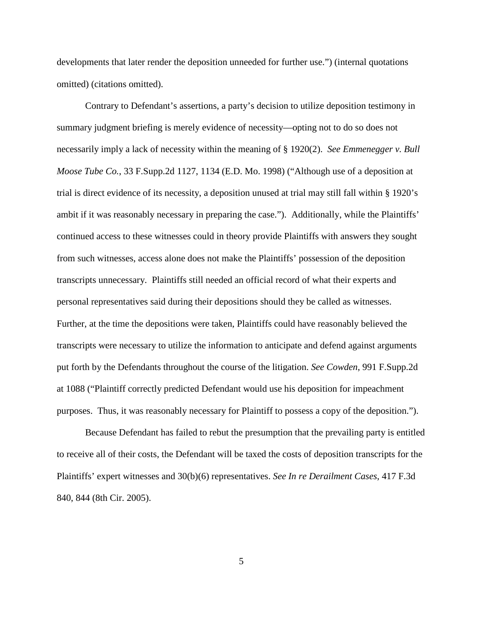developments that later render the deposition unneeded for further use.") (internal quotations omitted) (citations omitted).

Contrary to Defendant's assertions, a party's decision to utilize deposition testimony in summary judgment briefing is merely evidence of necessity—opting not to do so does not necessarily imply a lack of necessity within the meaning of § 1920(2). *See Emmenegger v. Bull Moose Tube Co.*, 33 F.Supp.2d 1127, 1134 (E.D. Mo. 1998) ("Although use of a deposition at trial is direct evidence of its necessity, a deposition unused at trial may still fall within § 1920's ambit if it was reasonably necessary in preparing the case."). Additionally, while the Plaintiffs' continued access to these witnesses could in theory provide Plaintiffs with answers they sought from such witnesses, access alone does not make the Plaintiffs' possession of the deposition transcripts unnecessary. Plaintiffs still needed an official record of what their experts and personal representatives said during their depositions should they be called as witnesses. Further, at the time the depositions were taken, Plaintiffs could have reasonably believed the transcripts were necessary to utilize the information to anticipate and defend against arguments put forth by the Defendants throughout the course of the litigation. *See Cowden*, 991 F.Supp.2d at 1088 ("Plaintiff correctly predicted Defendant would use his deposition for impeachment purposes. Thus, it was reasonably necessary for Plaintiff to possess a copy of the deposition.").

Because Defendant has failed to rebut the presumption that the prevailing party is entitled to receive all of their costs, the Defendant will be taxed the costs of deposition transcripts for the Plaintiffs' expert witnesses and 30(b)(6) representatives. *See In re Derailment Cases*, 417 F.3d 840, 844 (8th Cir. 2005).

5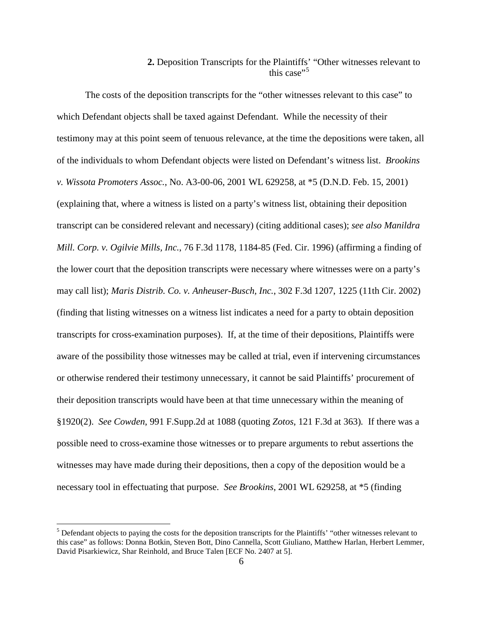# **2.** Deposition Transcripts for the Plaintiffs' "Other witnesses relevant to this case $"$ <sup>[5](#page-5-0)</sup>

The costs of the deposition transcripts for the "other witnesses relevant to this case" to which Defendant objects shall be taxed against Defendant. While the necessity of their testimony may at this point seem of tenuous relevance, at the time the depositions were taken, all of the individuals to whom Defendant objects were listed on Defendant's witness list. *Brookins v. Wissota Promoters Assoc.*, No. A3-00-06, 2001 WL 629258, at \*5 (D.N.D. Feb. 15, 2001) (explaining that, where a witness is listed on a party's witness list, obtaining their deposition transcript can be considered relevant and necessary) (citing additional cases); *see also Manildra Mill. Corp. v. Ogilvie Mills, Inc.*, 76 F.3d 1178, 1184-85 (Fed. Cir. 1996) (affirming a finding of the lower court that the deposition transcripts were necessary where witnesses were on a party's may call list); *Maris Distrib. Co. v. Anheuser-Busch, Inc.*, 302 F.3d 1207, 1225 (11th Cir. 2002) (finding that listing witnesses on a witness list indicates a need for a party to obtain deposition transcripts for cross-examination purposes). If, at the time of their depositions, Plaintiffs were aware of the possibility those witnesses may be called at trial, even if intervening circumstances or otherwise rendered their testimony unnecessary, it cannot be said Plaintiffs' procurement of their deposition transcripts would have been at that time unnecessary within the meaning of §1920(2). *See Cowden*, 991 F.Supp.2d at 1088 (quoting *Zotos*, 121 F.3d at 363)*.* If there was a possible need to cross-examine those witnesses or to prepare arguments to rebut assertions the witnesses may have made during their depositions, then a copy of the deposition would be a necessary tool in effectuating that purpose. *See Brookins*, 2001 WL 629258, at \*5 (finding

 $\overline{a}$ 

<span id="page-5-0"></span> $<sup>5</sup>$  Defendant objects to paying the costs for the deposition transcripts for the Plaintiffs' "other witnesses relevant to</sup> this case" as follows: Donna Botkin, Steven Bott, Dino Cannella, Scott Giuliano, Matthew Harlan, Herbert Lemmer, David Pisarkiewicz, Shar Reinhold, and Bruce Talen [ECF No. 2407 at 5].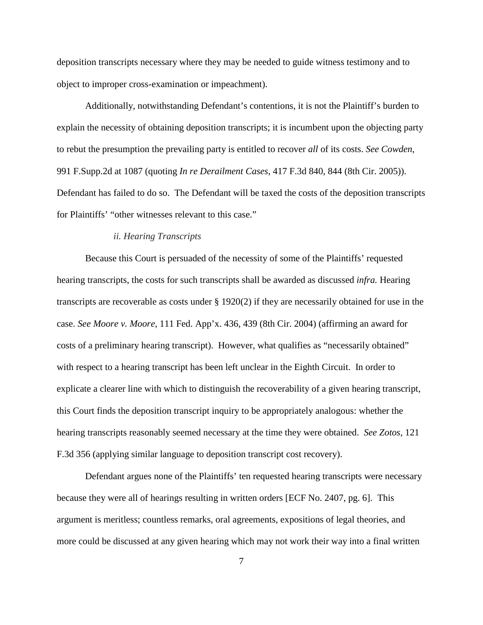deposition transcripts necessary where they may be needed to guide witness testimony and to object to improper cross-examination or impeachment).

Additionally, notwithstanding Defendant's contentions, it is not the Plaintiff's burden to explain the necessity of obtaining deposition transcripts; it is incumbent upon the objecting party to rebut the presumption the prevailing party is entitled to recover *all* of its costs. *See Cowden*, 991 F.Supp.2d at 1087 (quoting *In re Derailment Cases*, 417 F.3d 840, 844 (8th Cir. 2005)). Defendant has failed to do so. The Defendant will be taxed the costs of the deposition transcripts for Plaintiffs' "other witnesses relevant to this case."

## *ii. Hearing Transcripts*

Because this Court is persuaded of the necessity of some of the Plaintiffs' requested hearing transcripts, the costs for such transcripts shall be awarded as discussed *infra.* Hearing transcripts are recoverable as costs under § 1920(2) if they are necessarily obtained for use in the case. *See Moore v. Moore*, 111 Fed. App'x. 436, 439 (8th Cir. 2004) (affirming an award for costs of a preliminary hearing transcript). However, what qualifies as "necessarily obtained" with respect to a hearing transcript has been left unclear in the Eighth Circuit. In order to explicate a clearer line with which to distinguish the recoverability of a given hearing transcript, this Court finds the deposition transcript inquiry to be appropriately analogous: whether the hearing transcripts reasonably seemed necessary at the time they were obtained. *See Zotos*, 121 F.3d 356 (applying similar language to deposition transcript cost recovery).

Defendant argues none of the Plaintiffs' ten requested hearing transcripts were necessary because they were all of hearings resulting in written orders [ECF No. 2407, pg. 6]. This argument is meritless; countless remarks, oral agreements, expositions of legal theories, and more could be discussed at any given hearing which may not work their way into a final written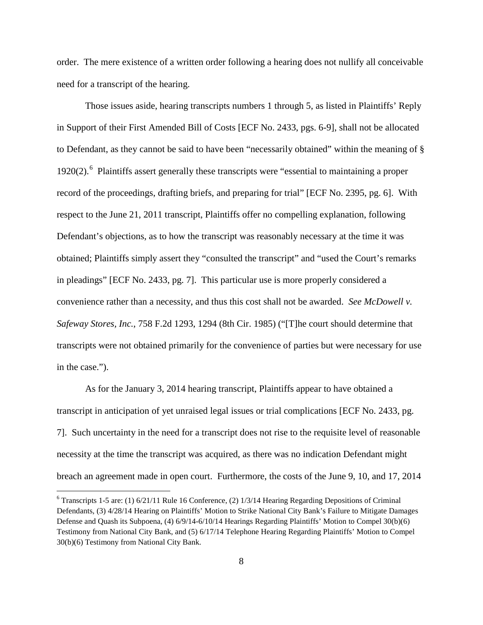order. The mere existence of a written order following a hearing does not nullify all conceivable need for a transcript of the hearing.

Those issues aside, hearing transcripts numbers 1 through 5, as listed in Plaintiffs' Reply in Support of their First Amended Bill of Costs [ECF No. 2433, pgs. 6-9], shall not be allocated to Defendant, as they cannot be said to have been "necessarily obtained" within the meaning of § 1920(2).<sup>[6](#page-7-0)</sup> Plaintiffs assert generally these transcripts were "essential to maintaining a proper record of the proceedings, drafting briefs, and preparing for trial" [ECF No. 2395, pg. 6]. With respect to the June 21, 2011 transcript, Plaintiffs offer no compelling explanation, following Defendant's objections, as to how the transcript was reasonably necessary at the time it was obtained; Plaintiffs simply assert they "consulted the transcript" and "used the Court's remarks in pleadings" [ECF No. 2433, pg. 7]. This particular use is more properly considered a convenience rather than a necessity, and thus this cost shall not be awarded. *See McDowell v. Safeway Stores, Inc.*, 758 F.2d 1293, 1294 (8th Cir. 1985) ("[T]he court should determine that transcripts were not obtained primarily for the convenience of parties but were necessary for use in the case.").

As for the January 3, 2014 hearing transcript, Plaintiffs appear to have obtained a transcript in anticipation of yet unraised legal issues or trial complications [ECF No. 2433, pg. 7]. Such uncertainty in the need for a transcript does not rise to the requisite level of reasonable necessity at the time the transcript was acquired, as there was no indication Defendant might breach an agreement made in open court. Furthermore, the costs of the June 9, 10, and 17, 2014

<u>.</u>

<span id="page-7-0"></span> $6$  Transcripts 1-5 are: (1) 6/21/11 Rule 16 Conference, (2) 1/3/14 Hearing Regarding Depositions of Criminal Defendants, (3) 4/28/14 Hearing on Plaintiffs' Motion to Strike National City Bank's Failure to Mitigate Damages Defense and Quash its Subpoena, (4) 6/9/14-6/10/14 Hearings Regarding Plaintiffs' Motion to Compel 30(b)(6) Testimony from National City Bank, and (5) 6/17/14 Telephone Hearing Regarding Plaintiffs' Motion to Compel 30(b)(6) Testimony from National City Bank.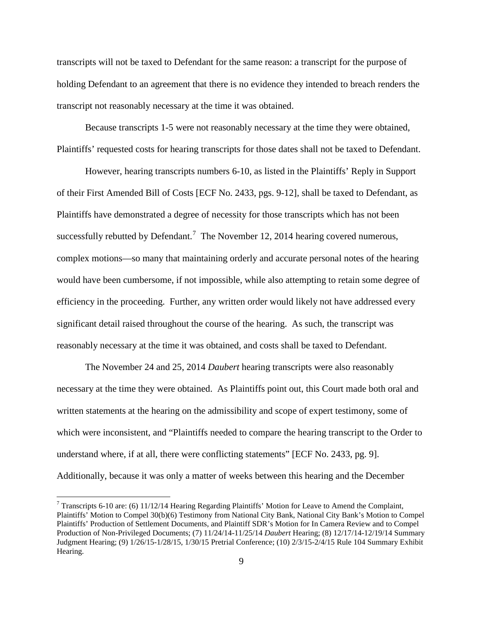transcripts will not be taxed to Defendant for the same reason: a transcript for the purpose of holding Defendant to an agreement that there is no evidence they intended to breach renders the transcript not reasonably necessary at the time it was obtained.

Because transcripts 1-5 were not reasonably necessary at the time they were obtained, Plaintiffs' requested costs for hearing transcripts for those dates shall not be taxed to Defendant.

However, hearing transcripts numbers 6-10, as listed in the Plaintiffs' Reply in Support of their First Amended Bill of Costs [ECF No. 2433, pgs. 9-12], shall be taxed to Defendant, as Plaintiffs have demonstrated a degree of necessity for those transcripts which has not been successfully rebutted by Defendant.<sup>[7](#page-8-0)</sup> The November 12, 2014 hearing covered numerous, complex motions—so many that maintaining orderly and accurate personal notes of the hearing would have been cumbersome, if not impossible, while also attempting to retain some degree of efficiency in the proceeding. Further, any written order would likely not have addressed every significant detail raised throughout the course of the hearing. As such, the transcript was reasonably necessary at the time it was obtained, and costs shall be taxed to Defendant.

The November 24 and 25, 2014 *Daubert* hearing transcripts were also reasonably necessary at the time they were obtained. As Plaintiffs point out, this Court made both oral and written statements at the hearing on the admissibility and scope of expert testimony, some of which were inconsistent, and "Plaintiffs needed to compare the hearing transcript to the Order to understand where, if at all, there were conflicting statements" [ECF No. 2433, pg. 9]. Additionally, because it was only a matter of weeks between this hearing and the December

 $\overline{a}$ 

<span id="page-8-0"></span><sup>&</sup>lt;sup>7</sup> Transcripts 6-10 are: (6) 11/12/14 Hearing Regarding Plaintiffs' Motion for Leave to Amend the Complaint, Plaintiffs' Motion to Compel 30(b)(6) Testimony from National City Bank, National City Bank's Motion to Compel Plaintiffs' Production of Settlement Documents, and Plaintiff SDR's Motion for In Camera Review and to Compel Production of Non-Privileged Documents; (7) 11/24/14-11/25/14 *Daubert* Hearing; (8) 12/17/14-12/19/14 Summary Judgment Hearing; (9) 1/26/15-1/28/15, 1/30/15 Pretrial Conference; (10) 2/3/15-2/4/15 Rule 104 Summary Exhibit Hearing.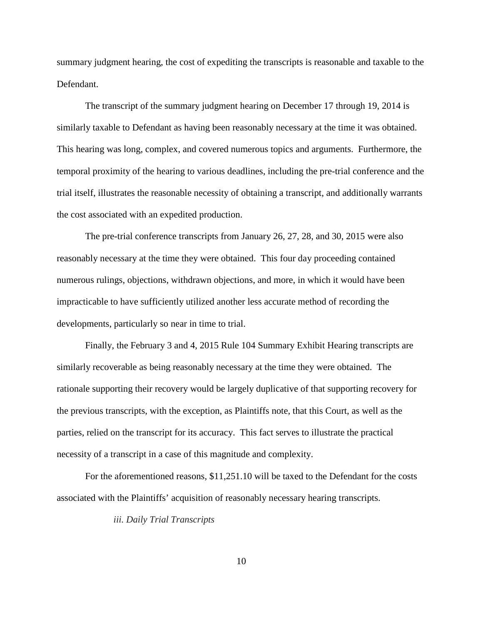summary judgment hearing, the cost of expediting the transcripts is reasonable and taxable to the Defendant.

The transcript of the summary judgment hearing on December 17 through 19, 2014 is similarly taxable to Defendant as having been reasonably necessary at the time it was obtained. This hearing was long, complex, and covered numerous topics and arguments. Furthermore, the temporal proximity of the hearing to various deadlines, including the pre-trial conference and the trial itself, illustrates the reasonable necessity of obtaining a transcript, and additionally warrants the cost associated with an expedited production.

The pre-trial conference transcripts from January 26, 27, 28, and 30, 2015 were also reasonably necessary at the time they were obtained. This four day proceeding contained numerous rulings, objections, withdrawn objections, and more, in which it would have been impracticable to have sufficiently utilized another less accurate method of recording the developments, particularly so near in time to trial.

Finally, the February 3 and 4, 2015 Rule 104 Summary Exhibit Hearing transcripts are similarly recoverable as being reasonably necessary at the time they were obtained. The rationale supporting their recovery would be largely duplicative of that supporting recovery for the previous transcripts, with the exception, as Plaintiffs note, that this Court, as well as the parties, relied on the transcript for its accuracy. This fact serves to illustrate the practical necessity of a transcript in a case of this magnitude and complexity.

For the aforementioned reasons, \$11,251.10 will be taxed to the Defendant for the costs associated with the Plaintiffs' acquisition of reasonably necessary hearing transcripts.

*iii. Daily Trial Transcripts*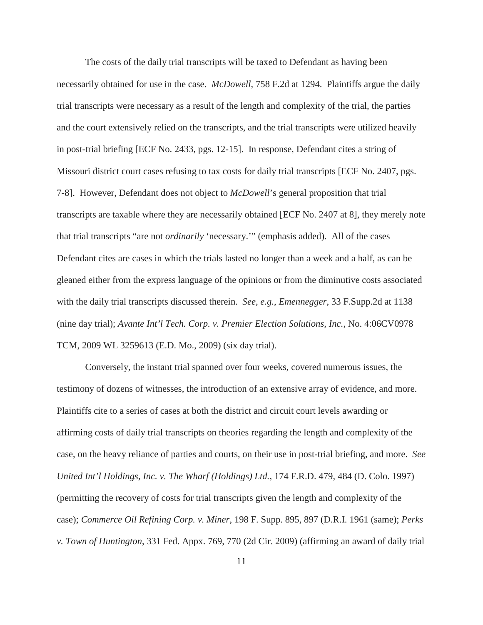The costs of the daily trial transcripts will be taxed to Defendant as having been necessarily obtained for use in the case. *McDowell*, 758 F.2d at 1294.Plaintiffs argue the daily trial transcripts were necessary as a result of the length and complexity of the trial, the parties and the court extensively relied on the transcripts, and the trial transcripts were utilized heavily in post-trial briefing [ECF No. 2433, pgs. 12-15]. In response, Defendant cites a string of Missouri district court cases refusing to tax costs for daily trial transcripts [ECF No. 2407, pgs. 7-8]. However, Defendant does not object to *McDowell*'s general proposition that trial transcripts are taxable where they are necessarily obtained [ECF No. 2407 at 8], they merely note that trial transcripts "are not *ordinarily* 'necessary.'" (emphasis added). All of the cases Defendant cites are cases in which the trials lasted no longer than a week and a half, as can be gleaned either from the express language of the opinions or from the diminutive costs associated with the daily trial transcripts discussed therein. *See, e.g.*, *Emennegger*, 33 F.Supp.2d at 1138 (nine day trial); *Avante Int'l Tech. Corp. v. Premier Election Solutions, Inc.*, No. 4:06CV0978 TCM, 2009 WL 3259613 (E.D. Mo., 2009) (six day trial).

Conversely, the instant trial spanned over four weeks, covered numerous issues, the testimony of dozens of witnesses, the introduction of an extensive array of evidence, and more. Plaintiffs cite to a series of cases at both the district and circuit court levels awarding or affirming costs of daily trial transcripts on theories regarding the length and complexity of the case, on the heavy reliance of parties and courts, on their use in post-trial briefing, and more. *See United Int'l Holdings, Inc. v. The Wharf (Holdings) Ltd.*, 174 F.R.D. 479, 484 (D. Colo. 1997) (permitting the recovery of costs for trial transcripts given the length and complexity of the case); *Commerce Oil Refining Corp. v. Miner*, 198 F. Supp. 895, 897 (D.R.I. 1961 (same); *Perks v. Town of Huntington*, 331 Fed. Appx. 769, 770 (2d Cir. 2009) (affirming an award of daily trial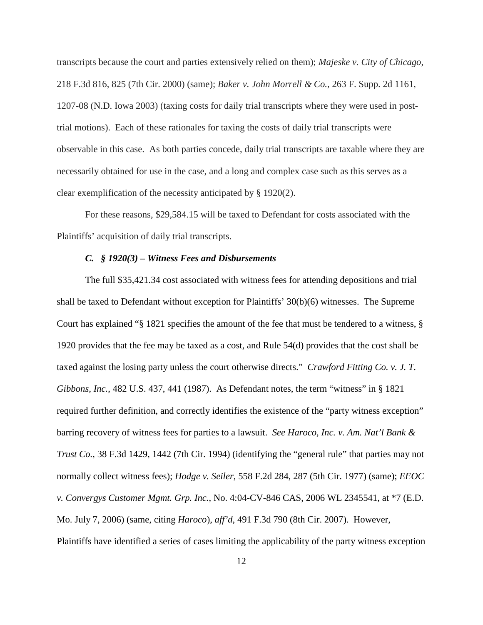transcripts because the court and parties extensively relied on them); *Majeske v. City of Chicago*, 218 F.3d 816, 825 (7th Cir. 2000) (same); *Baker v. John Morrell & Co.*, 263 F. Supp. 2d 1161, 1207-08 (N.D. Iowa 2003) (taxing costs for daily trial transcripts where they were used in posttrial motions). Each of these rationales for taxing the costs of daily trial transcripts were observable in this case. As both parties concede, daily trial transcripts are taxable where they are necessarily obtained for use in the case, and a long and complex case such as this serves as a clear exemplification of the necessity anticipated by § 1920(2).

For these reasons, \$29,584.15 will be taxed to Defendant for costs associated with the Plaintiffs' acquisition of daily trial transcripts.

## *C.**§ 1920(3) – Witness Fees and Disbursements*

The full \$35,421.34 cost associated with witness fees for attending depositions and trial shall be taxed to Defendant without exception for Plaintiffs' 30(b)(6) witnesses. The Supreme Court has explained "§ 1821 specifies the amount of the fee that must be tendered to a witness, § 1920 provides that the fee may be taxed as a cost, and Rule 54(d) provides that the cost shall be taxed against the losing party unless the court otherwise directs." *Crawford Fitting Co. v. J. T. Gibbons, Inc.*, 482 U.S. 437, 441 (1987). As Defendant notes, the term "witness" in § 1821 required further definition, and correctly identifies the existence of the "party witness exception" barring recovery of witness fees for parties to a lawsuit. *See Haroco, Inc. v. Am. Nat'l Bank & Trust Co.*, 38 F.3d 1429, 1442 (7th Cir. 1994) (identifying the "general rule" that parties may not normally collect witness fees); *Hodge v. Seiler*, 558 F.2d 284, 287 (5th Cir. 1977) (same); *EEOC v. Convergys Customer Mgmt. Grp. Inc.*, No. 4:04-CV-846 CAS, 2006 WL 2345541, at \*7 (E.D. Mo. July 7, 2006) (same, citing *Haroco*), *aff'd*, 491 F.3d 790 (8th Cir. 2007). However, Plaintiffs have identified a series of cases limiting the applicability of the party witness exception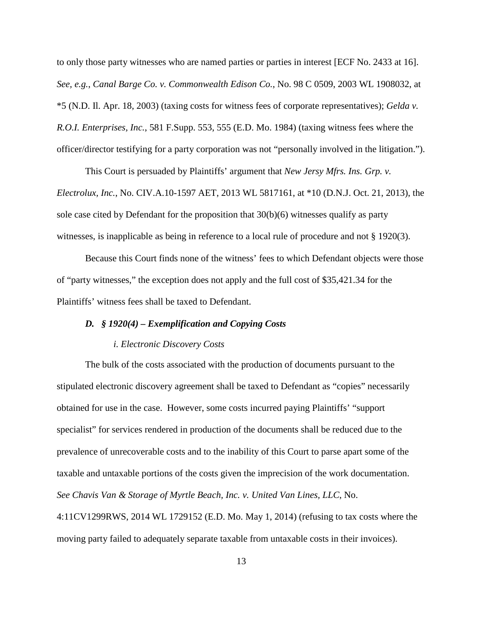to only those party witnesses who are named parties or parties in interest [ECF No. 2433 at 16]. *See, e.g.*, *Canal Barge Co. v. Commonwealth Edison Co.*, No. 98 C 0509, 2003 WL 1908032, at \*5 (N.D. Il. Apr. 18, 2003) (taxing costs for witness fees of corporate representatives); *Gelda v. R.O.I. Enterprises, Inc.*, 581 F.Supp. 553, 555 (E.D. Mo. 1984) (taxing witness fees where the officer/director testifying for a party corporation was not "personally involved in the litigation.").

This Court is persuaded by Plaintiffs' argument that *New Jersy Mfrs. Ins. Grp. v. Electrolux, Inc.*, No. CIV.A.10-1597 AET, 2013 WL 5817161, at \*10 (D.N.J. Oct. 21, 2013), the sole case cited by Defendant for the proposition that 30(b)(6) witnesses qualify as party witnesses, is inapplicable as being in reference to a local rule of procedure and not § 1920(3).

Because this Court finds none of the witness' fees to which Defendant objects were those of "party witnesses," the exception does not apply and the full cost of \$35,421.34 for the Plaintiffs' witness fees shall be taxed to Defendant.

### *D.**§ 1920(4) – Exemplification and Copying Costs*

### *i. Electronic Discovery Costs*

The bulk of the costs associated with the production of documents pursuant to the stipulated electronic discovery agreement shall be taxed to Defendant as "copies" necessarily obtained for use in the case. However, some costs incurred paying Plaintiffs' "support specialist" for services rendered in production of the documents shall be reduced due to the prevalence of unrecoverable costs and to the inability of this Court to parse apart some of the taxable and untaxable portions of the costs given the imprecision of the work documentation. *See Chavis Van & Storage of Myrtle Beach, Inc. v. United Van Lines, LLC*, No.

4:11CV1299RWS, 2014 WL 1729152 (E.D. Mo. May 1, 2014) (refusing to tax costs where the moving party failed to adequately separate taxable from untaxable costs in their invoices).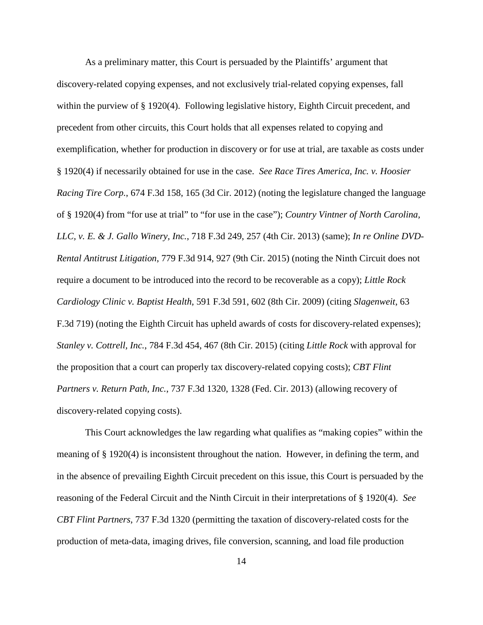As a preliminary matter, this Court is persuaded by the Plaintiffs' argument that discovery-related copying expenses, and not exclusively trial-related copying expenses, fall within the purview of § 1920(4). Following legislative history, Eighth Circuit precedent, and precedent from other circuits, this Court holds that all expenses related to copying and exemplification, whether for production in discovery or for use at trial, are taxable as costs under § 1920(4) if necessarily obtained for use in the case. *See Race Tires America, Inc. v. Hoosier Racing Tire Corp.*, 674 F.3d 158, 165 (3d Cir. 2012) (noting the legislature changed the language of § 1920(4) from "for use at trial" to "for use in the case"); *Country Vintner of North Carolina, LLC, v. E. & J. Gallo Winery, Inc.*, 718 F.3d 249, 257 (4th Cir. 2013) (same); *In re Online DVD-Rental Antitrust Litigation*, 779 F.3d 914, 927 (9th Cir. 2015) (noting the Ninth Circuit does not require a document to be introduced into the record to be recoverable as a copy); *Little Rock Cardiology Clinic v. Baptist Health*, 591 F.3d 591, 602 (8th Cir. 2009) (citing *Slagenweit*, 63 F.3d 719) (noting the Eighth Circuit has upheld awards of costs for discovery-related expenses); *Stanley v. Cottrell, Inc.*, 784 F.3d 454, 467 (8th Cir. 2015) (citing *Little Rock* with approval for the proposition that a court can properly tax discovery-related copying costs); *CBT Flint Partners v. Return Path, Inc.*, 737 F.3d 1320, 1328 (Fed. Cir. 2013) (allowing recovery of discovery-related copying costs).

This Court acknowledges the law regarding what qualifies as "making copies" within the meaning of § 1920(4) is inconsistent throughout the nation. However, in defining the term, and in the absence of prevailing Eighth Circuit precedent on this issue, this Court is persuaded by the reasoning of the Federal Circuit and the Ninth Circuit in their interpretations of § 1920(4). *See CBT Flint Partners*, 737 F.3d 1320 (permitting the taxation of discovery-related costs for the production of meta-data, imaging drives, file conversion, scanning, and load file production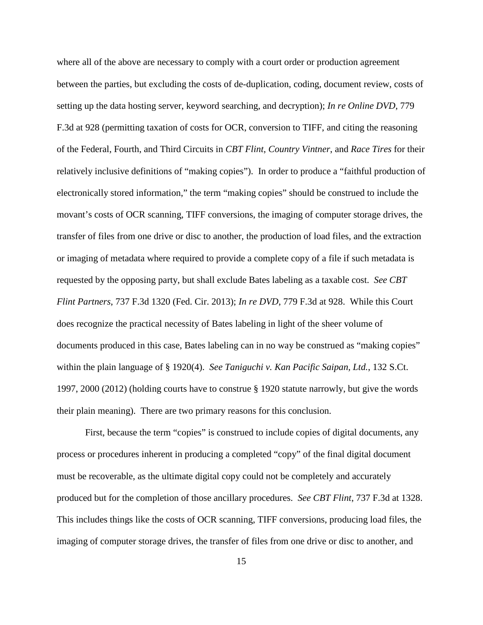where all of the above are necessary to comply with a court order or production agreement between the parties, but excluding the costs of de-duplication, coding, document review, costs of setting up the data hosting server, keyword searching, and decryption); *In re Online DVD*, 779 F.3d at 928 (permitting taxation of costs for OCR, conversion to TIFF, and citing the reasoning of the Federal, Fourth, and Third Circuits in *CBT Flint*, *Country Vintner*, and *Race Tires* for their relatively inclusive definitions of "making copies"). In order to produce a "faithful production of electronically stored information," the term "making copies" should be construed to include the movant's costs of OCR scanning, TIFF conversions, the imaging of computer storage drives, the transfer of files from one drive or disc to another, the production of load files, and the extraction or imaging of metadata where required to provide a complete copy of a file if such metadata is requested by the opposing party, but shall exclude Bates labeling as a taxable cost. *See CBT Flint Partners*, 737 F.3d 1320 (Fed. Cir. 2013); *In re DVD*, 779 F.3d at 928. While this Court does recognize the practical necessity of Bates labeling in light of the sheer volume of documents produced in this case, Bates labeling can in no way be construed as "making copies" within the plain language of § 1920(4). *See Taniguchi v. Kan Pacific Saipan, Ltd.*, 132 S.Ct. 1997, 2000 (2012) (holding courts have to construe § 1920 statute narrowly, but give the words their plain meaning). There are two primary reasons for this conclusion.

First, because the term "copies" is construed to include copies of digital documents, any process or procedures inherent in producing a completed "copy" of the final digital document must be recoverable, as the ultimate digital copy could not be completely and accurately produced but for the completion of those ancillary procedures. *See CBT Flint*, 737 F.3d at 1328. This includes things like the costs of OCR scanning, TIFF conversions, producing load files, the imaging of computer storage drives, the transfer of files from one drive or disc to another, and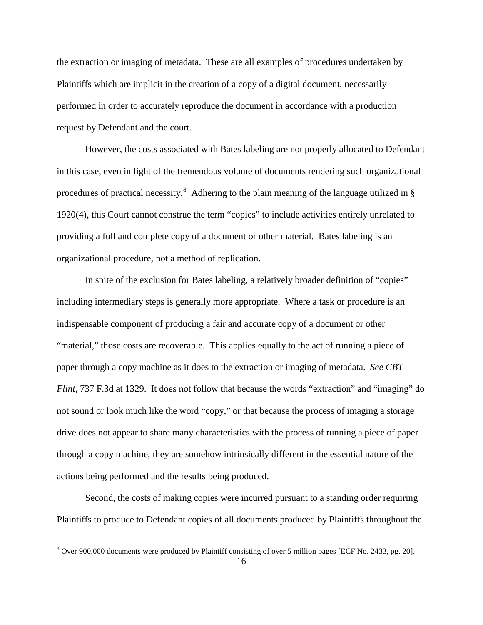the extraction or imaging of metadata. These are all examples of procedures undertaken by Plaintiffs which are implicit in the creation of a copy of a digital document, necessarily performed in order to accurately reproduce the document in accordance with a production request by Defendant and the court.

However, the costs associated with Bates labeling are not properly allocated to Defendant in this case, even in light of the tremendous volume of documents rendering such organizational procedures of practical necessity.<sup>[8](#page-15-0)</sup> Adhering to the plain meaning of the language utilized in § 1920(4), this Court cannot construe the term "copies" to include activities entirely unrelated to providing a full and complete copy of a document or other material. Bates labeling is an organizational procedure, not a method of replication.

In spite of the exclusion for Bates labeling, a relatively broader definition of "copies" including intermediary steps is generally more appropriate. Where a task or procedure is an indispensable component of producing a fair and accurate copy of a document or other "material," those costs are recoverable. This applies equally to the act of running a piece of paper through a copy machine as it does to the extraction or imaging of metadata. *See CBT Flint*, 737 F.3d at 1329. It does not follow that because the words "extraction" and "imaging" do not sound or look much like the word "copy," or that because the process of imaging a storage drive does not appear to share many characteristics with the process of running a piece of paper through a copy machine, they are somehow intrinsically different in the essential nature of the actions being performed and the results being produced.

Second, the costs of making copies were incurred pursuant to a standing order requiring Plaintiffs to produce to Defendant copies of all documents produced by Plaintiffs throughout the

<u>.</u>

<span id="page-15-0"></span><sup>&</sup>lt;sup>8</sup> Over 900,000 documents were produced by Plaintiff consisting of over 5 million pages [ECF No. 2433, pg. 20].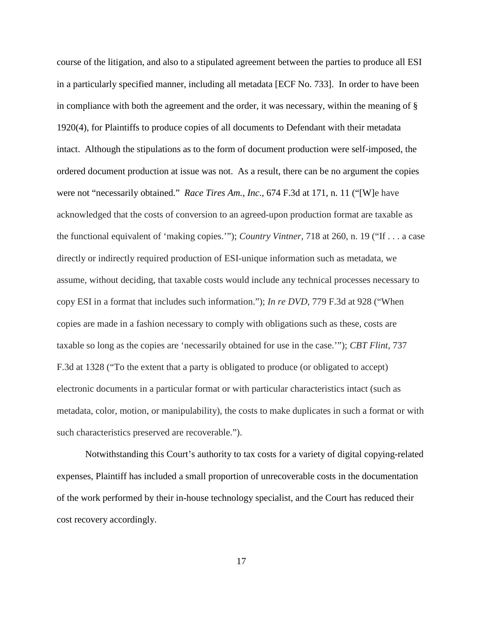course of the litigation, and also to a stipulated agreement between the parties to produce all ESI in a particularly specified manner, including all metadata [ECF No. 733]. In order to have been in compliance with both the agreement and the order, it was necessary, within the meaning of  $\S$ 1920(4), for Plaintiffs to produce copies of all documents to Defendant with their metadata intact. Although the stipulations as to the form of document production were self-imposed, the ordered document production at issue was not. As a result, there can be no argument the copies were not "necessarily obtained." *Race Tires Am., Inc*., 674 F.3d at 171, n. 11 ("[W]e have acknowledged that the costs of conversion to an agreed-upon production format are taxable as the functional equivalent of 'making copies.'"); *Country Vintner*, 718 at 260, n. 19 ("If . . . a case directly or indirectly required production of ESI-unique information such as metadata, we assume, without deciding, that taxable costs would include any technical processes necessary to copy ESI in a format that includes such information."); *In re DVD*, 779 F.3d at 928 ("When copies are made in a fashion necessary to comply with obligations such as these, costs are taxable so long as the copies are 'necessarily obtained for use in the case.'"); *CBT Flint*, 737 F.3d at 1328 ("To the extent that a party is obligated to produce (or obligated to accept) electronic documents in a particular format or with particular characteristics intact (such as metadata, color, motion, or manipulability), the costs to make duplicates in such a format or with such characteristics preserved are recoverable.").

Notwithstanding this Court's authority to tax costs for a variety of digital copying-related expenses, Plaintiff has included a small proportion of unrecoverable costs in the documentation of the work performed by their in-house technology specialist, and the Court has reduced their cost recovery accordingly.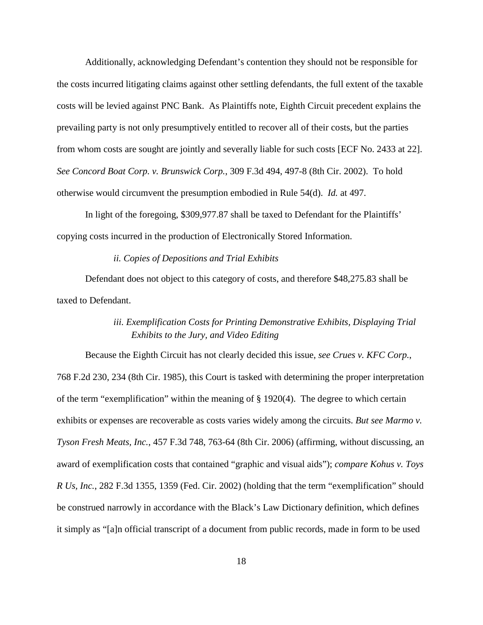Additionally, acknowledging Defendant's contention they should not be responsible for the costs incurred litigating claims against other settling defendants, the full extent of the taxable costs will be levied against PNC Bank. As Plaintiffs note, Eighth Circuit precedent explains the prevailing party is not only presumptively entitled to recover all of their costs, but the parties from whom costs are sought are jointly and severally liable for such costs [ECF No. 2433 at 22]. *See Concord Boat Corp. v. Brunswick Corp.*, 309 F.3d 494, 497-8 (8th Cir. 2002). To hold otherwise would circumvent the presumption embodied in Rule 54(d). *Id.* at 497.

In light of the foregoing, \$309,977.87 shall be taxed to Defendant for the Plaintiffs' copying costs incurred in the production of Electronically Stored Information.

### *ii. Copies of Depositions and Trial Exhibits*

 Defendant does not object to this category of costs, and therefore \$48,275.83 shall be taxed to Defendant.

# *iii. Exemplification Costs for Printing Demonstrative Exhibits, Displaying Trial Exhibits to the Jury, and Video Editing*

Because the Eighth Circuit has not clearly decided this issue, *see Crues v. KFC Corp.*, 768 F.2d 230, 234 (8th Cir. 1985), this Court is tasked with determining the proper interpretation of the term "exemplification" within the meaning of § 1920(4). The degree to which certain exhibits or expenses are recoverable as costs varies widely among the circuits. *But see Marmo v. Tyson Fresh Meats, Inc.*, 457 F.3d 748, 763-64 (8th Cir. 2006) (affirming, without discussing, an award of exemplification costs that contained "graphic and visual aids"); *compare Kohus v. Toys R Us, Inc.*, 282 F.3d 1355, 1359 (Fed. Cir. 2002) (holding that the term "exemplification" should be construed narrowly in accordance with the Black's Law Dictionary definition, which defines it simply as "[a]n official transcript of a document from public records, made in form to be used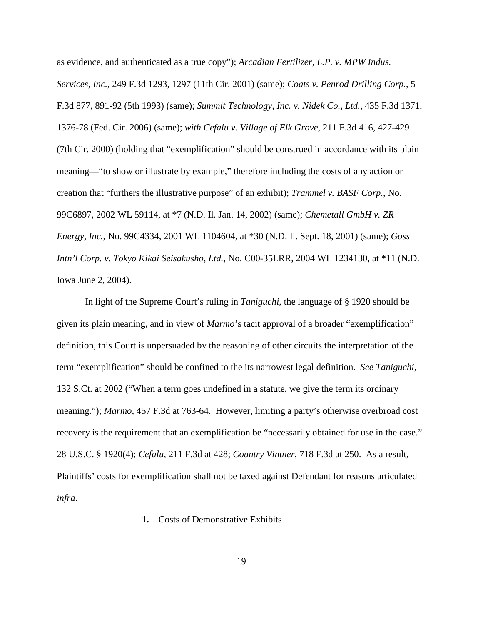as evidence, and authenticated as a true copy"); *Arcadian Fertilizer, L.P. v. MPW Indus. Services, Inc.*, 249 F.3d 1293, 1297 (11th Cir. 2001) (same); *Coats v. Penrod Drilling Corp.*, 5 F.3d 877, 891-92 (5th 1993) (same); *Summit Technology, Inc. v. Nidek Co., Ltd.*, 435 F.3d 1371, 1376-78 (Fed. Cir. 2006) (same); *with Cefalu v. Village of Elk Grove*, 211 F.3d 416, 427-429 (7th Cir. 2000) (holding that "exemplification" should be construed in accordance with its plain meaning—"to show or illustrate by example," therefore including the costs of any action or creation that "furthers the illustrative purpose" of an exhibit); *Trammel v. BASF Corp.*, No. 99C6897, 2002 WL 59114, at \*7 (N.D. Il. Jan. 14, 2002) (same); *Chemetall GmbH v. ZR Energy, Inc.*, No. 99C4334, 2001 WL 1104604, at \*30 (N.D. Il. Sept. 18, 2001) (same); *Goss Intn'l Corp. v. Tokyo Kikai Seisakusho, Ltd.*, No. C00-35LRR, 2004 WL 1234130, at \*11 (N.D. Iowa June 2, 2004).

In light of the Supreme Court's ruling in *Taniguchi*, the language of § 1920 should be given its plain meaning, and in view of *Marmo*'s tacit approval of a broader "exemplification" definition, this Court is unpersuaded by the reasoning of other circuits the interpretation of the term "exemplification" should be confined to the its narrowest legal definition. *See Taniguchi*, 132 S.Ct. at 2002 ("When a term goes undefined in a statute, we give the term its ordinary meaning."); *Marmo*, 457 F.3d at 763-64. However, limiting a party's otherwise overbroad cost recovery is the requirement that an exemplification be "necessarily obtained for use in the case." 28 U.S.C. § 1920(4); *Cefalu*, 211 F.3d at 428; *Country Vintner*, 718 F.3d at 250. As a result, Plaintiffs' costs for exemplification shall not be taxed against Defendant for reasons articulated *infra*.

## **1.** Costs of Demonstrative Exhibits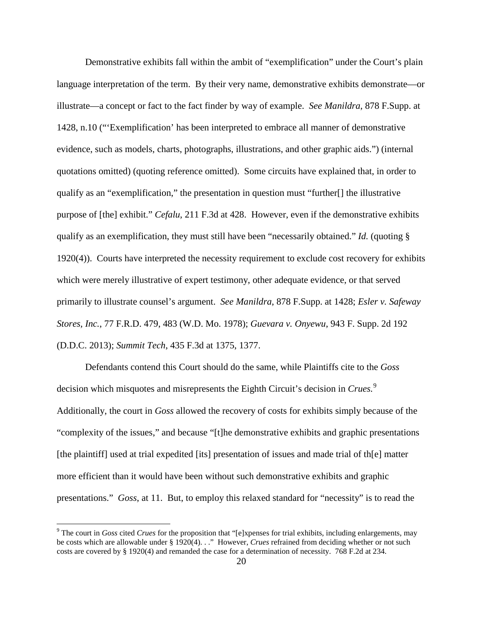Demonstrative exhibits fall within the ambit of "exemplification" under the Court's plain language interpretation of the term. By their very name, demonstrative exhibits demonstrate—or illustrate—a concept or fact to the fact finder by way of example. *See Manildra*, 878 F.Supp. at 1428, n.10 ("'Exemplification' has been interpreted to embrace all manner of demonstrative evidence, such as models, charts, photographs, illustrations, and other graphic aids.") (internal quotations omitted) (quoting reference omitted). Some circuits have explained that, in order to qualify as an "exemplification," the presentation in question must "further[] the illustrative purpose of [the] exhibit." *Cefalu*, 211 F.3d at 428.However, even if the demonstrative exhibits qualify as an exemplification, they must still have been "necessarily obtained." *Id.* (quoting § 1920(4)). Courts have interpreted the necessity requirement to exclude cost recovery for exhibits which were merely illustrative of expert testimony, other adequate evidence, or that served primarily to illustrate counsel's argument. *See Manildra*, 878 F.Supp. at 1428; *Esler v. Safeway Stores, Inc.*, 77 F.R.D. 479, 483 (W.D. Mo. 1978); *Guevara v. Onyewu*, 943 F. Supp. 2d 192 (D.D.C. 2013); *Summit Tech*, 435 F.3d at 1375, 1377.

Defendants contend this Court should do the same, while Plaintiffs cite to the *Goss*  decision which misquotes and misrepresents the Eighth Circuit's decision in *Crues.*[9](#page-19-0) Additionally, the court in *Goss* allowed the recovery of costs for exhibits simply because of the "complexity of the issues," and because "[t]he demonstrative exhibits and graphic presentations [the plaintiff] used at trial expedited [its] presentation of issues and made trial of th[e] matter more efficient than it would have been without such demonstrative exhibits and graphic presentations." *Goss*, at 11. But, to employ this relaxed standard for "necessity" is to read the

 $\overline{a}$ 

<span id="page-19-0"></span><sup>9</sup> The court in *Goss* cited *Crues* for the proposition that "[e]xpenses for trial exhibits, including enlargements, may be costs which are allowable under § 1920(4). . ." However, *Crues* refrained from deciding whether or not such costs are covered by § 1920(4) and remanded the case for a determination of necessity. 768 F.2d at 234.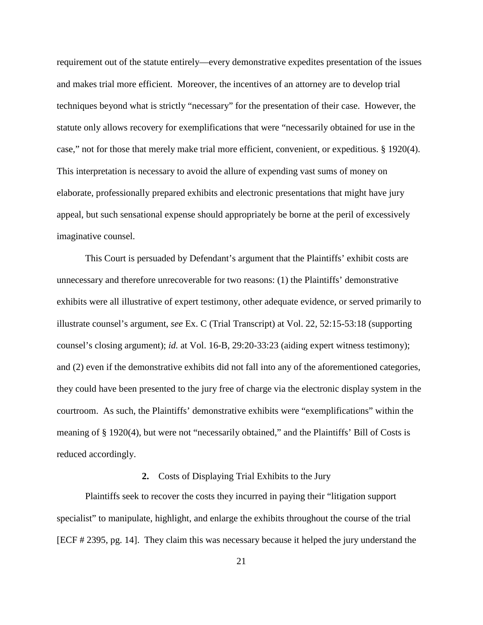requirement out of the statute entirely—every demonstrative expedites presentation of the issues and makes trial more efficient. Moreover, the incentives of an attorney are to develop trial techniques beyond what is strictly "necessary" for the presentation of their case. However, the statute only allows recovery for exemplifications that were "necessarily obtained for use in the case," not for those that merely make trial more efficient, convenient, or expeditious. § 1920(4). This interpretation is necessary to avoid the allure of expending vast sums of money on elaborate, professionally prepared exhibits and electronic presentations that might have jury appeal, but such sensational expense should appropriately be borne at the peril of excessively imaginative counsel.

This Court is persuaded by Defendant's argument that the Plaintiffs' exhibit costs are unnecessary and therefore unrecoverable for two reasons: (1) the Plaintiffs' demonstrative exhibits were all illustrative of expert testimony, other adequate evidence, or served primarily to illustrate counsel's argument, *see* Ex. C (Trial Transcript) at Vol. 22, 52:15-53:18 (supporting counsel's closing argument); *id.* at Vol. 16-B, 29:20-33:23 (aiding expert witness testimony); and (2) even if the demonstrative exhibits did not fall into any of the aforementioned categories, they could have been presented to the jury free of charge via the electronic display system in the courtroom. As such, the Plaintiffs' demonstrative exhibits were "exemplifications" within the meaning of § 1920(4), but were not "necessarily obtained," and the Plaintiffs' Bill of Costs is reduced accordingly.

## **2.** Costs of Displaying Trial Exhibits to the Jury

Plaintiffs seek to recover the costs they incurred in paying their "litigation support specialist" to manipulate, highlight, and enlarge the exhibits throughout the course of the trial [ECF # 2395, pg. 14]. They claim this was necessary because it helped the jury understand the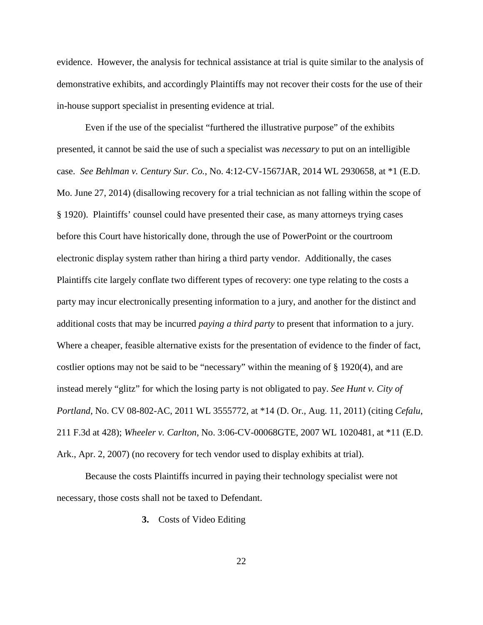evidence. However, the analysis for technical assistance at trial is quite similar to the analysis of demonstrative exhibits, and accordingly Plaintiffs may not recover their costs for the use of their in-house support specialist in presenting evidence at trial.

Even if the use of the specialist "furthered the illustrative purpose" of the exhibits presented, it cannot be said the use of such a specialist was *necessary* to put on an intelligible case. *See Behlman v. Century Sur. Co.*, No. 4:12-CV-1567JAR, 2014 WL 2930658, at \*1 (E.D. Mo. June 27, 2014) (disallowing recovery for a trial technician as not falling within the scope of § 1920). Plaintiffs' counsel could have presented their case, as many attorneys trying cases before this Court have historically done, through the use of PowerPoint or the courtroom electronic display system rather than hiring a third party vendor. Additionally, the cases Plaintiffs cite largely conflate two different types of recovery: one type relating to the costs a party may incur electronically presenting information to a jury, and another for the distinct and additional costs that may be incurred *paying a third party* to present that information to a jury. Where a cheaper, feasible alternative exists for the presentation of evidence to the finder of fact, costlier options may not be said to be "necessary" within the meaning of § 1920(4), and are instead merely "glitz" for which the losing party is not obligated to pay. *See Hunt v. City of Portland*, No. CV 08-802-AC, 2011 WL 3555772, at \*14 (D. Or., Aug. 11, 2011) (citing *Cefalu*, 211 F.3d at 428); *Wheeler v. Carlton*, No. 3:06-CV-00068GTE, 2007 WL 1020481, at \*11 (E.D. Ark., Apr. 2, 2007) (no recovery for tech vendor used to display exhibits at trial).

Because the costs Plaintiffs incurred in paying their technology specialist were not necessary, those costs shall not be taxed to Defendant.

**3.** Costs of Video Editing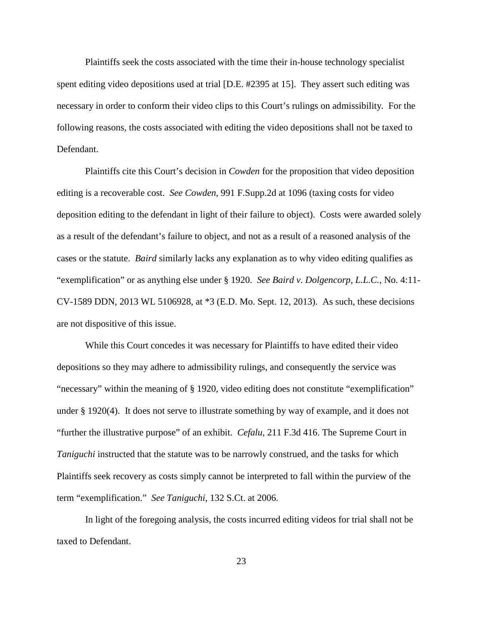Plaintiffs seek the costs associated with the time their in-house technology specialist spent editing video depositions used at trial [D.E. #2395 at 15]. They assert such editing was necessary in order to conform their video clips to this Court's rulings on admissibility. For the following reasons, the costs associated with editing the video depositions shall not be taxed to Defendant.

 Plaintiffs cite this Court's decision in *Cowden* for the proposition that video deposition editing is a recoverable cost. *See Cowden*, 991 F.Supp.2d at 1096 (taxing costs for video deposition editing to the defendant in light of their failure to object). Costs were awarded solely as a result of the defendant's failure to object, and not as a result of a reasoned analysis of the cases or the statute. *Baird* similarly lacks any explanation as to why video editing qualifies as "exemplification" or as anything else under § 1920. *See Baird v. Dolgencorp, L.L.C.*, No. 4:11- CV-1589 DDN, 2013 WL 5106928, at \*3 (E.D. Mo. Sept. 12, 2013). As such, these decisions are not dispositive of this issue.

While this Court concedes it was necessary for Plaintiffs to have edited their video depositions so they may adhere to admissibility rulings, and consequently the service was "necessary" within the meaning of § 1920, video editing does not constitute "exemplification" under § 1920(4). It does not serve to illustrate something by way of example, and it does not "further the illustrative purpose" of an exhibit. *Cefalu*, 211 F.3d 416. The Supreme Court in *Taniguchi* instructed that the statute was to be narrowly construed, and the tasks for which Plaintiffs seek recovery as costs simply cannot be interpreted to fall within the purview of the term "exemplification." *See Taniguchi*, 132 S.Ct. at 2006.

 In light of the foregoing analysis, the costs incurred editing videos for trial shall not be taxed to Defendant.

23